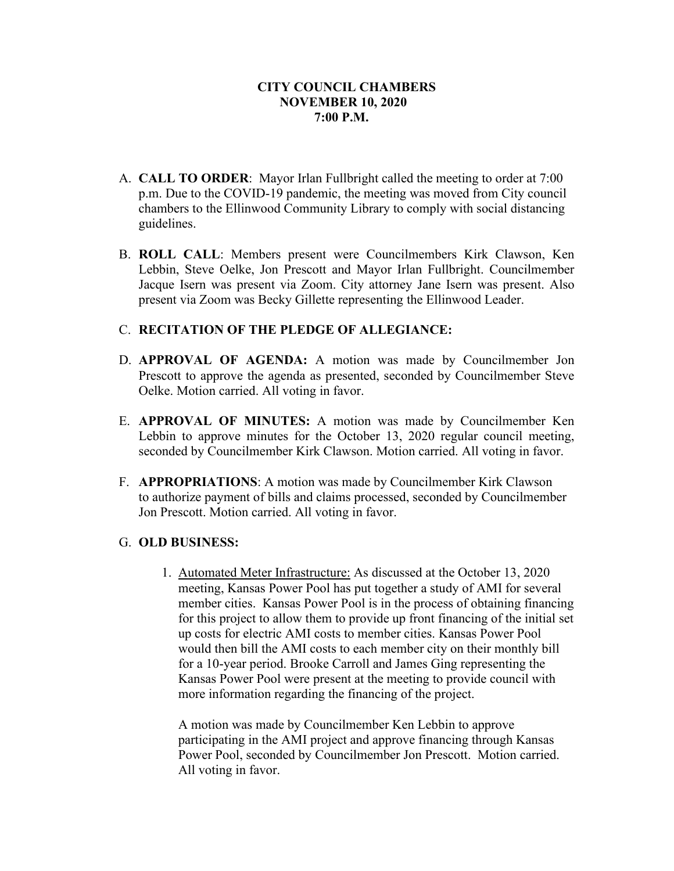- A. **CALL TO ORDER**: Mayor Irlan Fullbright called the meeting to order at 7:00 p.m. Due to the COVID-19 pandemic, the meeting was moved from City council chambers to the Ellinwood Community Library to comply with social distancing guidelines.
- B. **ROLL CALL**: Members present were Councilmembers Kirk Clawson, Ken Lebbin, Steve Oelke, Jon Prescott and Mayor Irlan Fullbright. Councilmember Jacque Isern was present via Zoom. City attorney Jane Isern was present. Also present via Zoom was Becky Gillette representing the Ellinwood Leader.

# C. **RECITATION OF THE PLEDGE OF ALLEGIANCE:**

- D. **APPROVAL OF AGENDA:** A motion was made by Councilmember Jon Prescott to approve the agenda as presented, seconded by Councilmember Steve Oelke. Motion carried. All voting in favor.
- E. **APPROVAL OF MINUTES:** A motion was made by Councilmember Ken Lebbin to approve minutes for the October 13, 2020 regular council meeting, seconded by Councilmember Kirk Clawson. Motion carried. All voting in favor.
- F. **APPROPRIATIONS**: A motion was made by Councilmember Kirk Clawson to authorize payment of bills and claims processed, seconded by Councilmember Jon Prescott. Motion carried. All voting in favor.

### G. **OLD BUSINESS:**

1. Automated Meter Infrastructure: As discussed at the October 13, 2020 meeting, Kansas Power Pool has put together a study of AMI for several member cities. Kansas Power Pool is in the process of obtaining financing for this project to allow them to provide up front financing of the initial set up costs for electric AMI costs to member cities. Kansas Power Pool would then bill the AMI costs to each member city on their monthly bill for a 10-year period. Brooke Carroll and James Ging representing the Kansas Power Pool were present at the meeting to provide council with more information regarding the financing of the project.

A motion was made by Councilmember Ken Lebbin to approve participating in the AMI project and approve financing through Kansas Power Pool, seconded by Councilmember Jon Prescott. Motion carried. All voting in favor.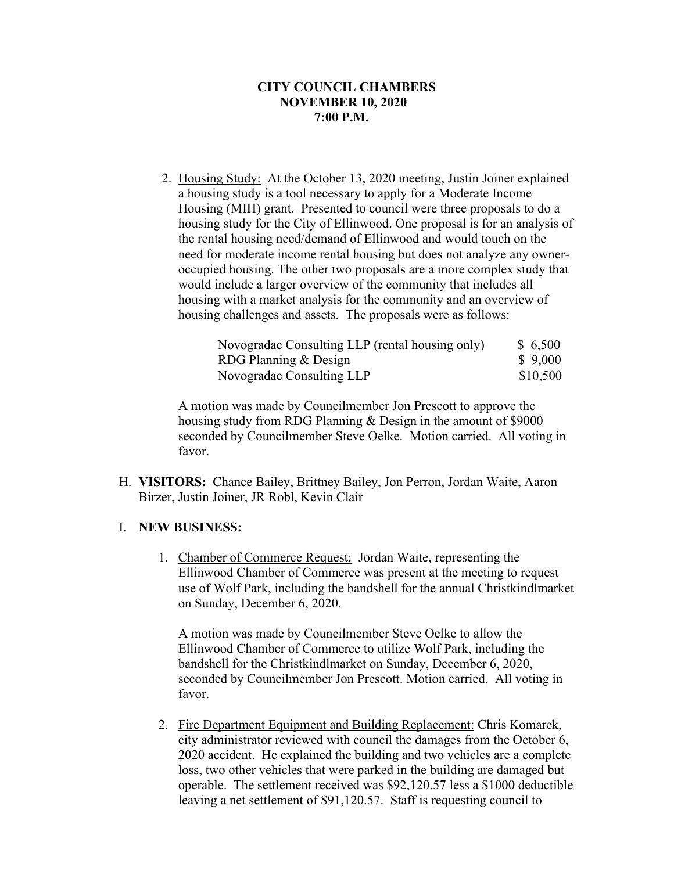2. Housing Study: At the October 13, 2020 meeting, Justin Joiner explained a housing study is a tool necessary to apply for a Moderate Income Housing (MIH) grant. Presented to council were three proposals to do a housing study for the City of Ellinwood. One proposal is for an analysis of the rental housing need/demand of Ellinwood and would touch on the need for moderate income rental housing but does not analyze any owneroccupied housing. The other two proposals are a more complex study that would include a larger overview of the community that includes all housing with a market analysis for the community and an overview of housing challenges and assets. The proposals were as follows:

| Novogradac Consulting LLP (rental housing only) | \$6,500  |
|-------------------------------------------------|----------|
| RDG Planning & Design                           | \$9,000  |
| Novogradac Consulting LLP                       | \$10,500 |

A motion was made by Councilmember Jon Prescott to approve the housing study from RDG Planning & Design in the amount of \$9000 seconded by Councilmember Steve Oelke. Motion carried. All voting in favor.

H. **VISITORS:** Chance Bailey, Brittney Bailey, Jon Perron, Jordan Waite, Aaron Birzer, Justin Joiner, JR Robl, Kevin Clair

### I. **NEW BUSINESS:**

1. Chamber of Commerce Request: Jordan Waite, representing the Ellinwood Chamber of Commerce was present at the meeting to request use of Wolf Park, including the bandshell for the annual Christkindlmarket on Sunday, December 6, 2020.

A motion was made by Councilmember Steve Oelke to allow the Ellinwood Chamber of Commerce to utilize Wolf Park, including the bandshell for the Christkindlmarket on Sunday, December 6, 2020, seconded by Councilmember Jon Prescott. Motion carried. All voting in favor.

2. Fire Department Equipment and Building Replacement: Chris Komarek, city administrator reviewed with council the damages from the October 6, 2020 accident. He explained the building and two vehicles are a complete loss, two other vehicles that were parked in the building are damaged but operable. The settlement received was \$92,120.57 less a \$1000 deductible leaving a net settlement of \$91,120.57. Staff is requesting council to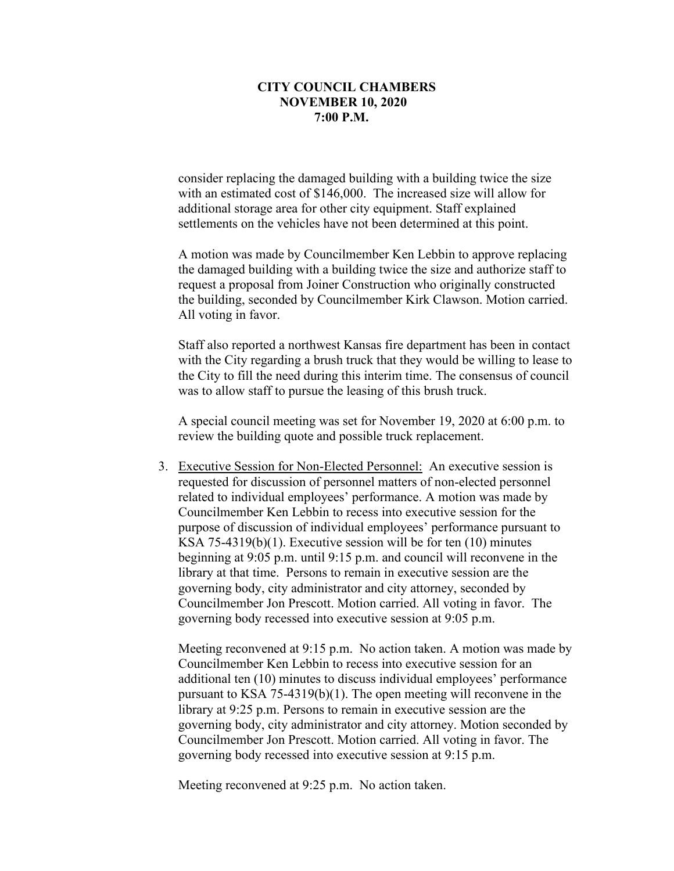consider replacing the damaged building with a building twice the size with an estimated cost of \$146,000. The increased size will allow for additional storage area for other city equipment. Staff explained settlements on the vehicles have not been determined at this point.

A motion was made by Councilmember Ken Lebbin to approve replacing the damaged building with a building twice the size and authorize staff to request a proposal from Joiner Construction who originally constructed the building, seconded by Councilmember Kirk Clawson. Motion carried. All voting in favor.

Staff also reported a northwest Kansas fire department has been in contact with the City regarding a brush truck that they would be willing to lease to the City to fill the need during this interim time. The consensus of council was to allow staff to pursue the leasing of this brush truck.

A special council meeting was set for November 19, 2020 at 6:00 p.m. to review the building quote and possible truck replacement.

 3. Executive Session for Non-Elected Personnel: An executive session is requested for discussion of personnel matters of non-elected personnel related to individual employees' performance. A motion was made by Councilmember Ken Lebbin to recess into executive session for the purpose of discussion of individual employees' performance pursuant to KSA 75-4319(b)(1). Executive session will be for ten (10) minutes beginning at 9:05 p.m. until 9:15 p.m. and council will reconvene in the library at that time. Persons to remain in executive session are the governing body, city administrator and city attorney, seconded by Councilmember Jon Prescott. Motion carried. All voting in favor. The governing body recessed into executive session at 9:05 p.m.

Meeting reconvened at 9:15 p.m. No action taken. A motion was made by Councilmember Ken Lebbin to recess into executive session for an additional ten (10) minutes to discuss individual employees' performance pursuant to KSA 75-4319(b)(1). The open meeting will reconvene in the library at 9:25 p.m. Persons to remain in executive session are the governing body, city administrator and city attorney. Motion seconded by Councilmember Jon Prescott. Motion carried. All voting in favor. The governing body recessed into executive session at 9:15 p.m.

Meeting reconvened at 9:25 p.m. No action taken.